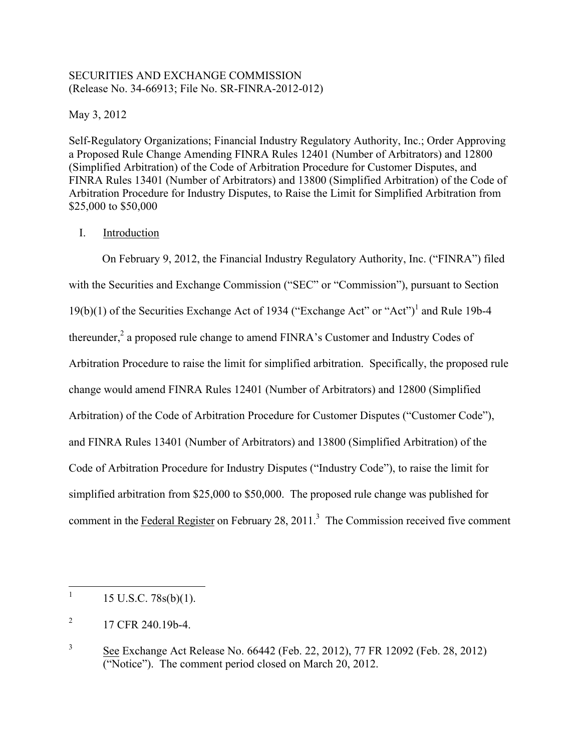## SECURITIES AND EXCHANGE COMMISSION (Release No. 34-66913; File No. SR-FINRA-2012-012)

May 3, 2012

Self-Regulatory Organizations; Financial Industry Regulatory Authority, Inc.; Order Approving a Proposed Rule Change Amending FINRA Rules 12401 (Number of Arbitrators) and 12800 (Simplified Arbitration) of the Code of Arbitration Procedure for Customer Disputes, and FINRA Rules 13401 (Number of Arbitrators) and 13800 (Simplified Arbitration) of the Code of Arbitration Procedure for Industry Disputes, to Raise the Limit for Simplified Arbitration from \$25,000 to \$50,000

# I. Introduction

thereunder,<sup>2</sup> a proposed rule change to amend FINRA's Customer and Industry Codes of simplified arbitration from \$25,000 to \$50,000. The proposed rule change was published for comment in the Federal Register on February 28, 2011.<sup>3</sup> The Commission received five comment On February 9, 2012, the Financial Industry Regulatory Authority, Inc. ("FINRA") filed with the Securities and Exchange Commission ("SEC" or "Commission"), pursuant to Section 19(b)(1) of the Securities Exchange Act of 1934 ("Exchange Act" or "Act")1 and Rule 19b-4 Arbitration Procedure to raise the limit for simplified arbitration. Specifically, the proposed rule change would amend FINRA Rules 12401 (Number of Arbitrators) and 12800 (Simplified Arbitration) of the Code of Arbitration Procedure for Customer Disputes ("Customer Code"), and FINRA Rules 13401 (Number of Arbitrators) and 13800 (Simplified Arbitration) of the Code of Arbitration Procedure for Industry Disputes ("Industry Code"), to raise the limit for

 $15$  U.S.C.  $78s(b)(1)$ .

 $\overline{2}$ 2 17 CFR 240.19b-4.

 $\sqrt{3}$ 3 See Exchange Act Release No. 66442 (Feb. 22, 2012), 77 FR 12092 (Feb. 28, 2012) ("Notice"). The comment period closed on March 20, 2012.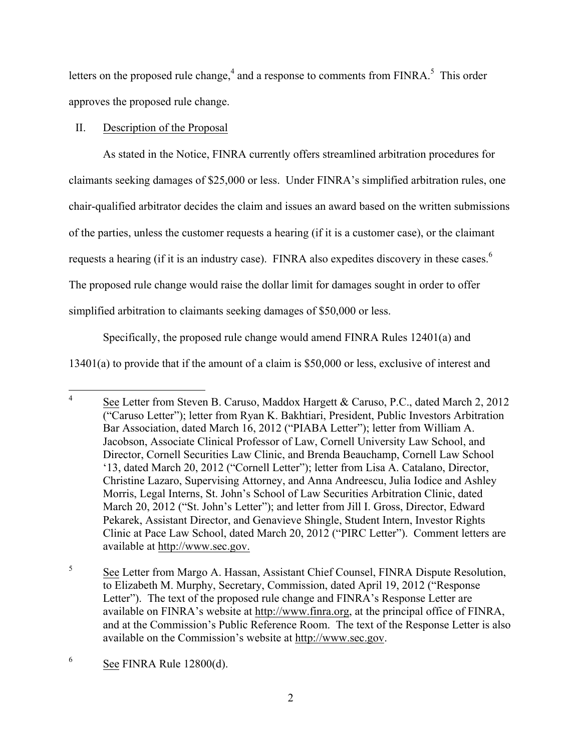letters on the proposed rule change,<sup>4</sup> and a response to comments from FINRA.<sup>5</sup> This order approves the proposed rule change.

## II. Description of the Proposal

requests a hearing (if it is an industry case). FINRA also expedites discovery in these cases.<sup>6</sup> The proposed rule change would raise the dollar limit for damages sought in order to offer As stated in the Notice, FINRA currently offers streamlined arbitration procedures for claimants seeking damages of \$25,000 or less. Under FINRA's simplified arbitration rules, one chair-qualified arbitrator decides the claim and issues an award based on the written submissions of the parties, unless the customer requests a hearing (if it is a customer case), or the claimant simplified arbitration to claimants seeking damages of \$50,000 or less.

Specifically, the proposed rule change would amend FINRA Rules 12401(a) and

13401(a) to provide that if the amount of a claim is \$50,000 or less, exclusive of interest and

 $\sqrt{5}$  and at the Commission's Public Reference Room. The text of the Response Letter is also See Letter from Margo A. Hassan, Assistant Chief Counsel, FINRA Dispute Resolution, to Elizabeth M. Murphy, Secretary, Commission, dated April 19, 2012 ("Response Letter"). The text of the proposed rule change and FINRA's Response Letter are available on FINRA's website at http://www.finra.org, at the principal office of FINRA, available on the Commission's website at http://www.sec.gov.

See Letter from Steven B. Caruso, Maddox Hargett & Caruso, P.C., dated March 2, 2012 ("Caruso Letter"); letter from Ryan K. Bakhtiari, President, Public Investors Arbitration Bar Association, dated March 16, 2012 ("PIABA Letter"); letter from William A. Jacobson, Associate Clinical Professor of Law, Cornell University Law School, and Director, Cornell Securities Law Clinic, and Brenda Beauchamp, Cornell Law School '13, dated March 20, 2012 ("Cornell Letter"); letter from Lisa A. Catalano, Director, Christine Lazaro, Supervising Attorney, and Anna Andreescu, Julia Iodice and Ashley Morris, Legal Interns, St. John's School of Law Securities Arbitration Clinic, dated March 20, 2012 ("St. John's Letter"); and letter from Jill I. Gross, Director, Edward Pekarek, Assistant Director, and Genavieve Shingle, Student Intern, Investor Rights Clinic at Pace Law School, dated March 20, 2012 ("PIRC Letter"). Comment letters are available at http://www.sec.gov.

<sup>6</sup> See FINRA Rule  $12800(d)$ .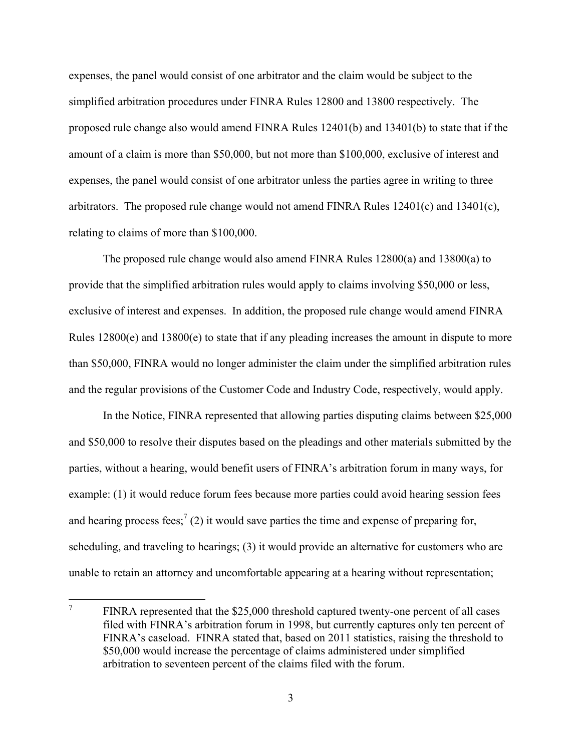expenses, the panel would consist of one arbitrator and the claim would be subject to the simplified arbitration procedures under FINRA Rules 12800 and 13800 respectively. The proposed rule change also would amend FINRA Rules 12401(b) and 13401(b) to state that if the amount of a claim is more than \$50,000, but not more than \$100,000, exclusive of interest and expenses, the panel would consist of one arbitrator unless the parties agree in writing to three arbitrators. The proposed rule change would not amend FINRA Rules  $12401(c)$  and  $13401(c)$ , relating to claims of more than \$100,000.

 The proposed rule change would also amend FINRA Rules 12800(a) and 13800(a) to provide that the simplified arbitration rules would apply to claims involving \$50,000 or less, exclusive of interest and expenses. In addition, the proposed rule change would amend FINRA Rules 12800(e) and 13800(e) to state that if any pleading increases the amount in dispute to more than \$50,000, FINRA would no longer administer the claim under the simplified arbitration rules and the regular provisions of the Customer Code and Industry Code, respectively, would apply.

 parties, without a hearing, would benefit users of FINRA's arbitration forum in many ways, for In the Notice, FINRA represented that allowing parties disputing claims between \$25,000 and \$50,000 to resolve their disputes based on the pleadings and other materials submitted by the example: (1) it would reduce forum fees because more parties could avoid hearing session fees and hearing process fees;  $(2)$  it would save parties the time and expense of preparing for, scheduling, and traveling to hearings; (3) it would provide an alternative for customers who are unable to retain an attorney and uncomfortable appearing at a hearing without representation;

 7 FINRA represented that the \$25,000 threshold captured twenty-one percent of all cases filed with FINRA's arbitration forum in 1998, but currently captures only ten percent of FINRA's caseload. FINRA stated that, based on 2011 statistics, raising the threshold to \$50,000 would increase the percentage of claims administered under simplified arbitration to seventeen percent of the claims filed with the forum.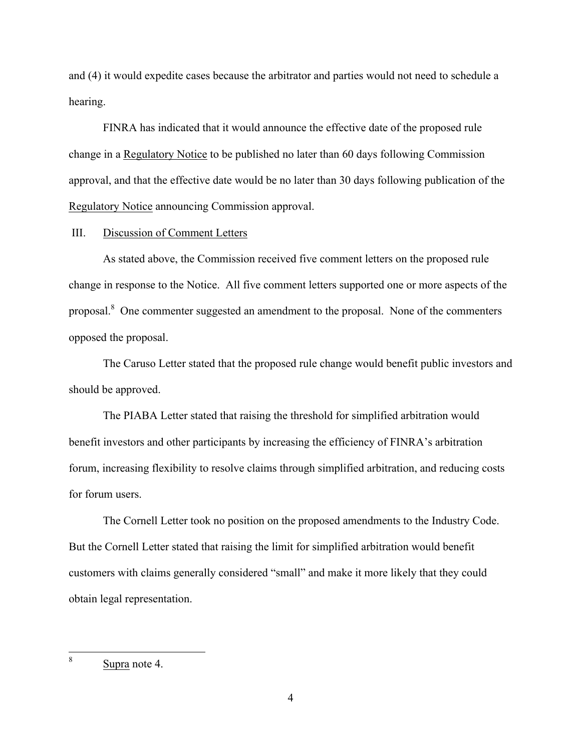and (4) it would expedite cases because the arbitrator and parties would not need to schedule a hearing.

FINRA has indicated that it would announce the effective date of the proposed rule change in a Regulatory Notice to be published no later than 60 days following Commission approval, and that the effective date would be no later than 30 days following publication of the Regulatory Notice announcing Commission approval.

III. Discussion of Comment Letters

proposal.<sup>8</sup> One commenter suggested an amendment to the proposal. None of the commenters As stated above, the Commission received five comment letters on the proposed rule change in response to the Notice. All five comment letters supported one or more aspects of the opposed the proposal.

The Caruso Letter stated that the proposed rule change would benefit public investors and should be approved.

The PIABA Letter stated that raising the threshold for simplified arbitration would benefit investors and other participants by increasing the efficiency of FINRA's arbitration forum, increasing flexibility to resolve claims through simplified arbitration, and reducing costs for forum users.

The Cornell Letter took no position on the proposed amendments to the Industry Code. But the Cornell Letter stated that raising the limit for simplified arbitration would benefit customers with claims generally considered "small" and make it more likely that they could obtain legal representation.

 8 Supra note 4.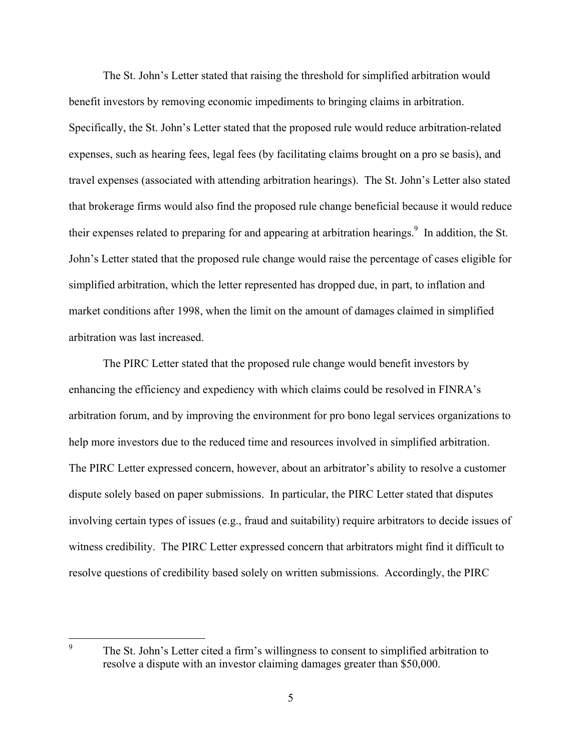expenses, such as hearing fees, legal fees (by facilitating claims brought on a pro se basis), and their expenses related to preparing for and appearing at arbitration hearings.<sup>9</sup> In addition, the St. market conditions after 1998, when the limit on the amount of damages claimed in simplified The St. John's Letter stated that raising the threshold for simplified arbitration would benefit investors by removing economic impediments to bringing claims in arbitration. Specifically, the St. John's Letter stated that the proposed rule would reduce arbitration-related travel expenses (associated with attending arbitration hearings). The St. John's Letter also stated that brokerage firms would also find the proposed rule change beneficial because it would reduce John's Letter stated that the proposed rule change would raise the percentage of cases eligible for simplified arbitration, which the letter represented has dropped due, in part, to inflation and arbitration was last increased.

help more investors due to the reduced time and resources involved in simplified arbitration. help more investors due to the reduced time and resources involved in simplified arbitration. The PIRC Letter expressed concern, however, about an arbitrator's ability to resolve a customer involving certain types of issues (e.g., fraud and suitability) require arbitrators to decide issues of resolve questions of credibility based solely on written submissions. Accordingly, the PIRC The PIRC Letter stated that the proposed rule change would benefit investors by enhancing the efficiency and expediency with which claims could be resolved in FINRA's arbitration forum, and by improving the environment for pro bono legal services organizations to dispute solely based on paper submissions. In particular, the PIRC Letter stated that disputes witness credibility. The PIRC Letter expressed concern that arbitrators might find it difficult to

 9 The St. John's Letter cited a firm's willingness to consent to simplified arbitration to resolve a dispute with an investor claiming damages greater than \$50,000.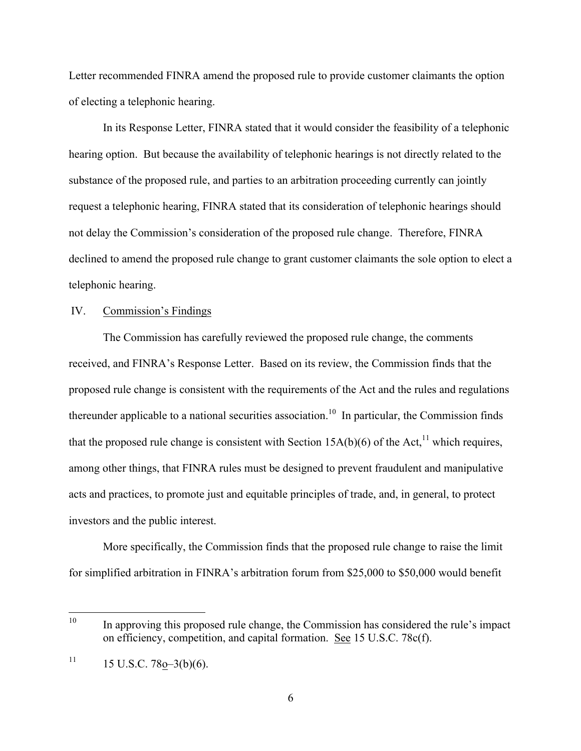Letter recommended FINRA amend the proposed rule to provide customer claimants the option of electing a telephonic hearing.

In its Response Letter, FINRA stated that it would consider the feasibility of a telephonic hearing option. But because the availability of telephonic hearings is not directly related to the substance of the proposed rule, and parties to an arbitration proceeding currently can jointly request a telephonic hearing, FINRA stated that its consideration of telephonic hearings should not delay the Commission's consideration of the proposed rule change. Therefore, FINRA declined to amend the proposed rule change to grant customer claimants the sole option to elect a telephonic hearing.

#### IV. Commission's Findings

 The Commission has carefully reviewed the proposed rule change, the comments thereunder applicable to a national securities association.<sup>10</sup> In particular, the Commission finds received, and FINRA's Response Letter. Based on its review, the Commission finds that the proposed rule change is consistent with the requirements of the Act and the rules and regulations that the proposed rule change is consistent with Section 15A(b)(6) of the Act,<sup>11</sup> which requires, among other things, that FINRA rules must be designed to prevent fraudulent and manipulative acts and practices, to promote just and equitable principles of trade, and, in general, to protect investors and the public interest.

More specifically, the Commission finds that the proposed rule change to raise the limit for simplified arbitration in FINRA's arbitration forum from \$25,000 to \$50,000 would benefit

In approving this proposed rule change, the Commission has considered the rule's impact on efficiency, competition, and capital formation. See 15 U.S.C. 78c(f).

 $11$  15 U.S.C. 78o–3(b)(6).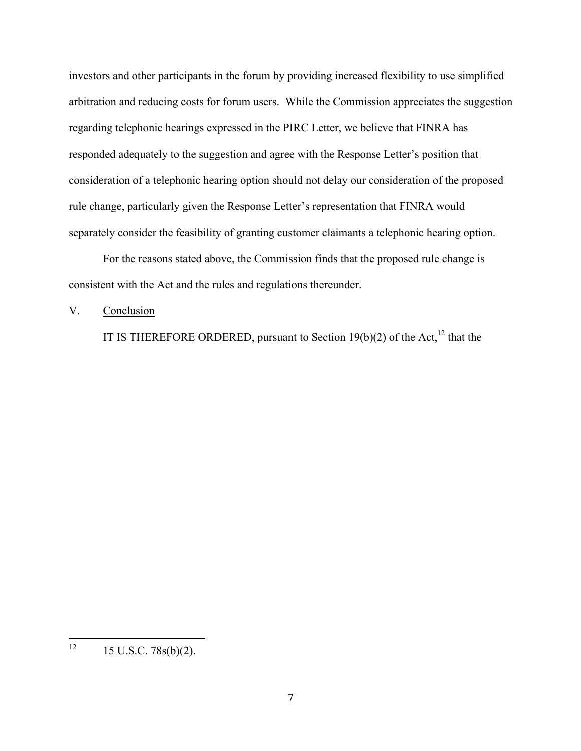regarding telephonic hearings expressed in the PIRC Letter, we believe that FINRA has investors and other participants in the forum by providing increased flexibility to use simplified arbitration and reducing costs for forum users. While the Commission appreciates the suggestion responded adequately to the suggestion and agree with the Response Letter's position that consideration of a telephonic hearing option should not delay our consideration of the proposed rule change, particularly given the Response Letter's representation that FINRA would separately consider the feasibility of granting customer claimants a telephonic hearing option.

For the reasons stated above, the Commission finds that the proposed rule change is consistent with the Act and the rules and regulations thereunder.

### V. Conclusion

IT IS THEREFORE ORDERED, pursuant to Section 19(b)(2) of the Act,<sup>12</sup> that the

 $\frac{1}{12}$ 15 U.S.C. 78s(b)(2).